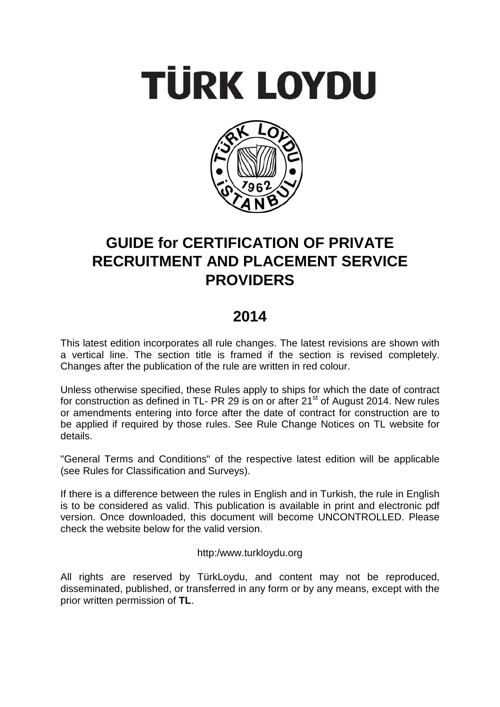# **TÜRK LOYDU**



# **GUIDE for CERTIFICATION OF PRIVATE RECRUITMENT AND PLACEMENT SERVICE PROVIDERS**

# **2014**

This latest edition incorporates all rule changes. The latest revisions are shown with a vertical line. The section title is framed if the section is revised completely. Changes after the publication of the rule are written in red colour.

Unless otherwise specified, these Rules apply to ships for which the date of contract for construction as defined in TL- PR 29 is on or after  $21<sup>st</sup>$  of August 2014. New rules or amendments entering into force after the date of contract for construction are to be applied if required by those rules. See Rule Change Notices on TL website for details.

"General Terms and Conditions" of the respective latest edition will be applicable (see Rules for Classification and Surveys).

If there is a difference between the rules in English and in Turkish, the rule in English is to be considered as valid. This publication is available in print and electronic pdf version. Once downloaded, this document will become UNCONTROLLED. Please check the website below for the valid version.

http:/www.turkloydu.org

All rights are reserved by TürkLoydu, and content may not be reproduced, disseminated, published, or transferred in any form or by any means, except with the prior written permission of **TL**.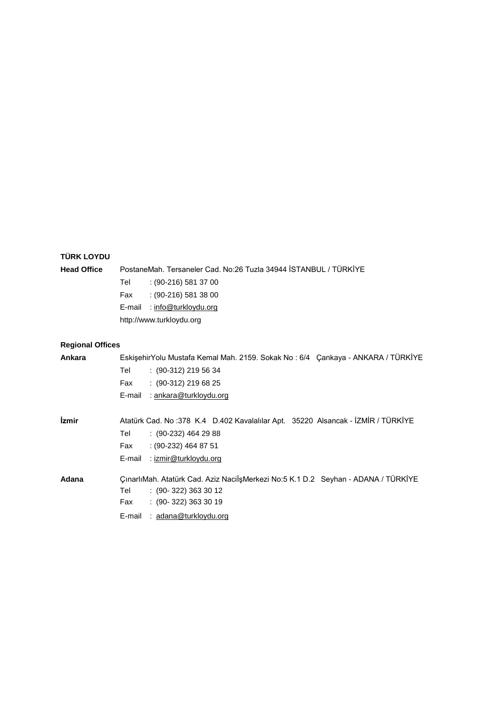# **TÜRK LOYDU**

| <b>Head Office</b>      | PostaneMah, Tersaneler Cad, No:26 Tuzla 34944 İSTANBUL / TÜRKİYE |                                                                                 |  |  |  |
|-------------------------|------------------------------------------------------------------|---------------------------------------------------------------------------------|--|--|--|
|                         | Tel                                                              | $(90-216)$ 581 37 00                                                            |  |  |  |
|                         | Fax                                                              | $(90-216)$ 581 38 00                                                            |  |  |  |
|                         | E-mail                                                           | : info@turkloydu.org                                                            |  |  |  |
|                         | http://www.turkloydu.org                                         |                                                                                 |  |  |  |
|                         |                                                                  |                                                                                 |  |  |  |
| <b>Regional Offices</b> |                                                                  |                                                                                 |  |  |  |
| Ankara                  |                                                                  | EskişehirYolu Mustafa Kemal Mah. 2159. Sokak No: 6/4 Çankaya - ANKARA / TÜRKİYE |  |  |  |
|                         | Tel                                                              | $: (90-312)$ 219 56 34                                                          |  |  |  |
|                         | Fax                                                              | $(90-312)$ 219 68 25                                                            |  |  |  |

|       | : ankara@turkloydu.org<br>E-mail                                                  |
|-------|-----------------------------------------------------------------------------------|
| İzmir | Atatürk Cad. No: 378 K.4 D.402 Kavalalılar Apt. 35220 Alsancak - İZMİR / TÜRKİYE  |
|       | $(90-232)$ 464 29 88<br>Tel                                                       |
|       | $(90-232)$ 464 87 51<br>Fax                                                       |
|       | : izmir@turkloydu.org<br>E-mail                                                   |
| Adana | CınarlıMah. Atatürk Cad. Aziz NacilşMerkezi No:5 K.1 D.2 Seyhan - ADANA / TÜRKİYE |
|       | $(90-322)3633012$<br>Tel                                                          |
|       | $(90-322)$ 363 30 19<br>Fax                                                       |
|       | : adana@turkloydu.org<br>E-mail                                                   |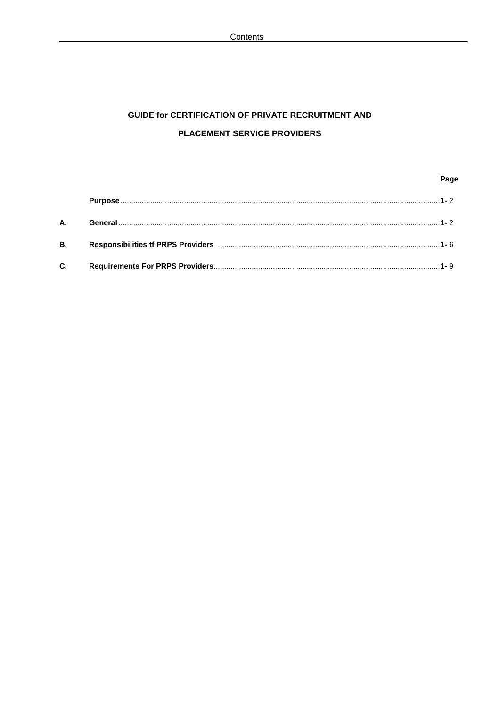# **GUIDE for CERTIFICATION OF PRIVATE RECRUITMENT AND** PLACEMENT SERVICE PROVIDERS

# Page

| А.        |  |
|-----------|--|
| <b>B.</b> |  |
| C.        |  |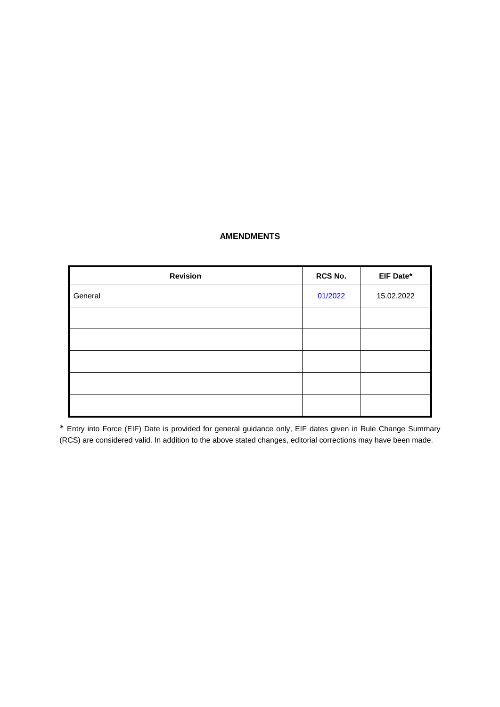## **AMENDMENTS**

| <b>Revision</b> | RCS No. | EIF Date*  |
|-----------------|---------|------------|
| General         | 01/2022 | 15.02.2022 |
|                 |         |            |
|                 |         |            |
|                 |         |            |
|                 |         |            |
|                 |         |            |

\* Entry into Force (EIF) Date is provided for general guidance only, EIF dates given in Rule Change Summary (RCS) are considered valid. In addition to the above stated changes, editorial corrections may have been made.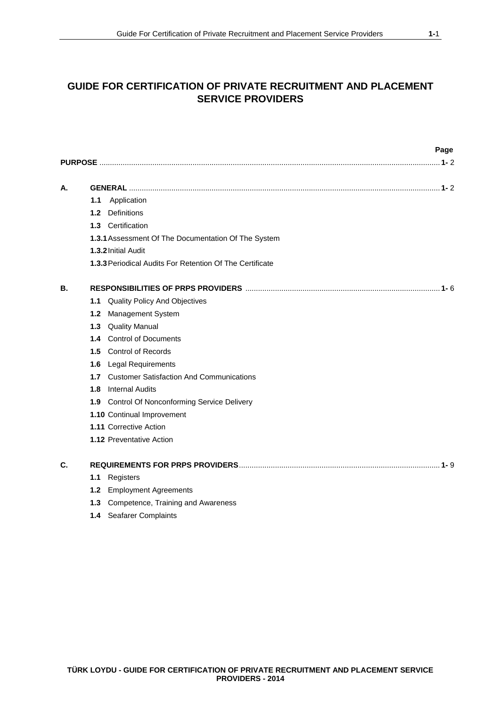|    |     | Page                                                            |
|----|-----|-----------------------------------------------------------------|
|    |     |                                                                 |
| А. |     |                                                                 |
|    | 1.1 | Application                                                     |
|    | 1.2 | <b>Definitions</b>                                              |
|    |     | 1.3 Certification                                               |
|    |     | 1.3.1 Assessment Of The Documentation Of The System             |
|    |     | 1.3.2 Initial Audit                                             |
|    |     | <b>1.3.3 Periodical Audits For Retention Of The Certificate</b> |
| В. |     |                                                                 |
|    |     | 1.1 Quality Policy And Objectives                               |
|    | 1.2 | Management System                                               |
|    |     | 1.3 Quality Manual                                              |
|    |     | 1.4 Control of Documents                                        |
|    |     | 1.5 Control of Records                                          |
|    | 1.6 | <b>Legal Requirements</b>                                       |
|    |     | 1.7 Customer Satisfaction And Communications                    |
|    |     | <b>1.8</b> Internal Audits                                      |
|    |     | 1.9 Control Of Nonconforming Service Delivery                   |
|    |     | 1.10 Continual Improvement                                      |
|    |     | 1.11 Corrective Action                                          |
|    |     | <b>1.12 Preventative Action</b>                                 |
| C. |     |                                                                 |
|    | 1.1 | Registers                                                       |
|    |     | 1.2 Employment Agreements                                       |
|    | 1.3 | Competence, Training and Awareness                              |
|    |     | 1.4 Seafarer Complaints                                         |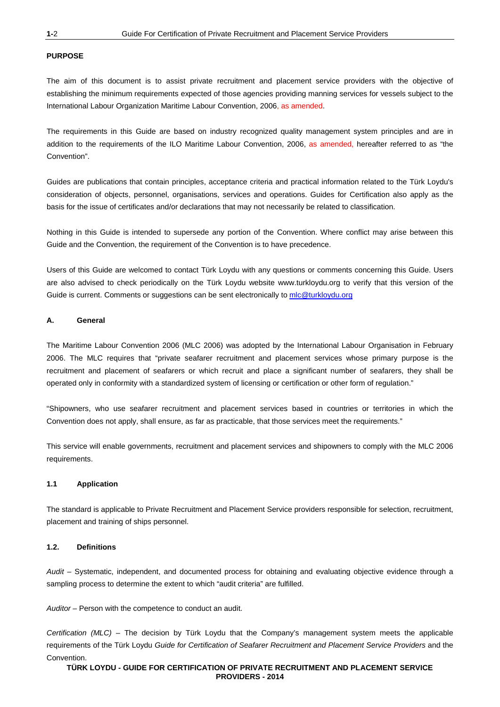#### **PURPOSE**

The aim of this document is to assist private recruitment and placement service providers with the objective of establishing the minimum requirements expected of those agencies providing manning services for vessels subject to the International Labour Organization Maritime Labour Convention, 2006, as amended.

The requirements in this Guide are based on industry recognized quality management system principles and are in addition to the requirements of the ILO Maritime Labour Convention, 2006, as amended, hereafter referred to as "the Convention".

Guides are publications that contain principles, acceptance criteria and practical information related to the Türk Loydu's consideration of objects, personnel, organisations, services and operations. Guides for Certification also apply as the basis for the issue of certificates and/or declarations that may not necessarily be related to classification.

Nothing in this Guide is intended to supersede any portion of the Convention. Where conflict may arise between this Guide and the Convention, the requirement of the Convention is to have precedence.

Users of this Guide are welcomed to contact Türk Loydu with any questions or comments concerning this Guide. Users are also advised to check periodically on the Türk Loydu website www.turkloydu.org to verify that this version of the Guide is current. Comments or suggestions can be sent electronically to mlc@turkloydu.org

#### **A. General**

The Maritime Labour Convention 2006 (MLC 2006) was adopted by the International Labour Organisation in February 2006. The MLC requires that "private seafarer recruitment and placement services whose primary purpose is the recruitment and placement of seafarers or which recruit and place a significant number of seafarers, they shall be operated only in conformity with a standardized system of licensing or certification or other form of regulation."

"Shipowners, who use seafarer recruitment and placement services based in countries or territories in which the Convention does not apply, shall ensure, as far as practicable, that those services meet the requirements."

This service will enable governments, recruitment and placement services and shipowners to comply with the MLC 2006 requirements.

#### **1.1 Application**

The standard is applicable to Private Recruitment and Placement Service providers responsible for selection, recruitment, placement and training of ships personnel.

#### **1.2. Definitions**

*Audit –* Systematic, independent, and documented process for obtaining and evaluating objective evidence through a sampling process to determine the extent to which "audit criteria" are fulfilled.

*Auditor –* Person with the competence to conduct an audit.

*Certification (MLC) –* The decision by Türk Loydu that the Company's management system meets the applicable requirements of the Türk Loydu *Guide for Certification of Seafarer Recruitment and Placement Service Providers* and the Convention.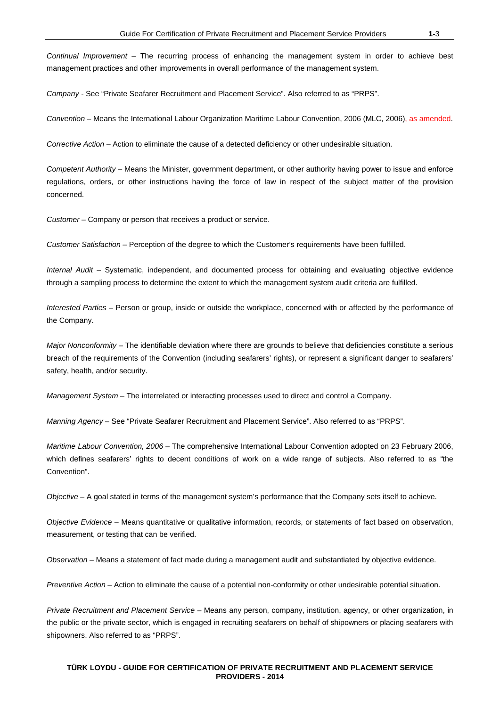*Continual Improvement –* The recurring process of enhancing the management system in order to achieve best management practices and other improvements in overall performance of the management system.

*Company* - See "Private Seafarer Recruitment and Placement Service". Also referred to as "PRPS".

*Convention –* Means the International Labour Organization Maritime Labour Convention, 2006 (MLC, 2006), as amended.

*Corrective Action –* Action to eliminate the cause of a detected deficiency or other undesirable situation.

*Competent Authority –* Means the Minister, government department, or other authority having power to issue and enforce regulations, orders, or other instructions having the force of law in respect of the subject matter of the provision concerned.

*Customer –* Company or person that receives a product or service.

*Customer Satisfaction –* Perception of the degree to which the Customer's requirements have been fulfilled.

*Internal Audit –* Systematic, independent, and documented process for obtaining and evaluating objective evidence through a sampling process to determine the extent to which the management system audit criteria are fulfilled.

*Interested Parties –* Person or group, inside or outside the workplace, concerned with or affected by the performance of the Company.

*Major Nonconformity –* The identifiable deviation where there are grounds to believe that deficiencies constitute a serious breach of the requirements of the Convention (including seafarers' rights), or represent a significant danger to seafarers' safety, health, and/or security.

*Management System –* The interrelated or interacting processes used to direct and control a Company.

*Manning Agency –* See "Private Seafarer Recruitment and Placement Service". Also referred to as "PRPS".

*Maritime Labour Convention, 2006 –* The comprehensive International Labour Convention adopted on 23 February 2006, which defines seafarers' rights to decent conditions of work on a wide range of subjects. Also referred to as "the Convention".

*Objective –* A goal stated in terms of the management system's performance that the Company sets itself to achieve.

*Objective Evidence –* Means quantitative or qualitative information, records, or statements of fact based on observation, measurement, or testing that can be verified.

*Observation –* Means a statement of fact made during a management audit and substantiated by objective evidence.

*Preventive Action –* Action to eliminate the cause of a potential non-conformity or other undesirable potential situation.

*Private Recruitment and Placement Service –* Means any person, company, institution, agency, or other organization, in the public or the private sector, which is engaged in recruiting seafarers on behalf of shipowners or placing seafarers with shipowners. Also referred to as "PRPS".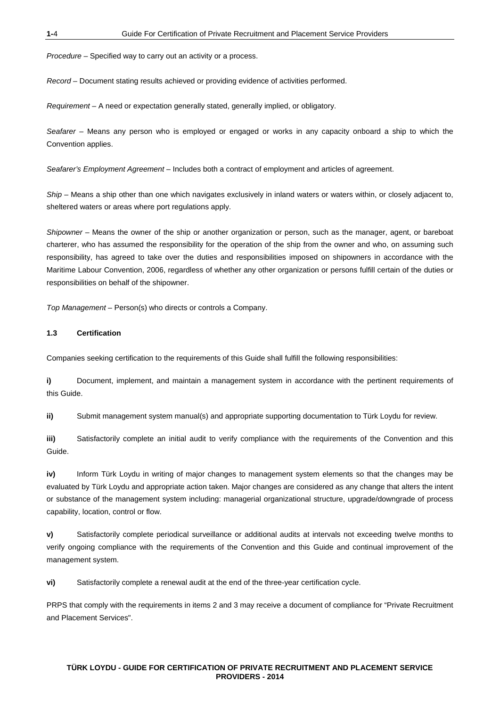*Procedure –* Specified way to carry out an activity or a process.

*Record –* Document stating results achieved or providing evidence of activities performed.

*Requirement –* A need or expectation generally stated, generally implied, or obligatory.

*Seafarer –* Means any person who is employed or engaged or works in any capacity onboard a ship to which the Convention applies.

*Seafarer's Employment Agreement –* Includes both a contract of employment and articles of agreement.

*Ship –* Means a ship other than one which navigates exclusively in inland waters or waters within, or closely adjacent to, sheltered waters or areas where port regulations apply.

*Shipowner –* Means the owner of the ship or another organization or person, such as the manager, agent, or bareboat charterer, who has assumed the responsibility for the operation of the ship from the owner and who, on assuming such responsibility, has agreed to take over the duties and responsibilities imposed on shipowners in accordance with the Maritime Labour Convention, 2006, regardless of whether any other organization or persons fulfill certain of the duties or responsibilities on behalf of the shipowner.

*Top Management –* Person(s) who directs or controls a Company.

#### **1.3 Certification**

Companies seeking certification to the requirements of this Guide shall fulfill the following responsibilities:

**i)** Document, implement, and maintain a management system in accordance with the pertinent requirements of this Guide.

**ii)** Submit management system manual(s) and appropriate supporting documentation to Türk Loydu for review.

**iii)** Satisfactorily complete an initial audit to verify compliance with the requirements of the Convention and this Guide.

**iv)** Inform Türk Loydu in writing of major changes to management system elements so that the changes may be evaluated by Türk Loydu and appropriate action taken. Major changes are considered as any change that alters the intent or substance of the management system including: managerial organizational structure, upgrade/downgrade of process capability, location, control or flow.

**v)** Satisfactorily complete periodical surveillance or additional audits at intervals not exceeding twelve months to verify ongoing compliance with the requirements of the Convention and this Guide and continual improvement of the management system.

**vi)** Satisfactorily complete a renewal audit at the end of the three-year certification cycle.

PRPS that comply with the requirements in items 2 and 3 may receive a document of compliance for "Private Recruitment and Placement Services".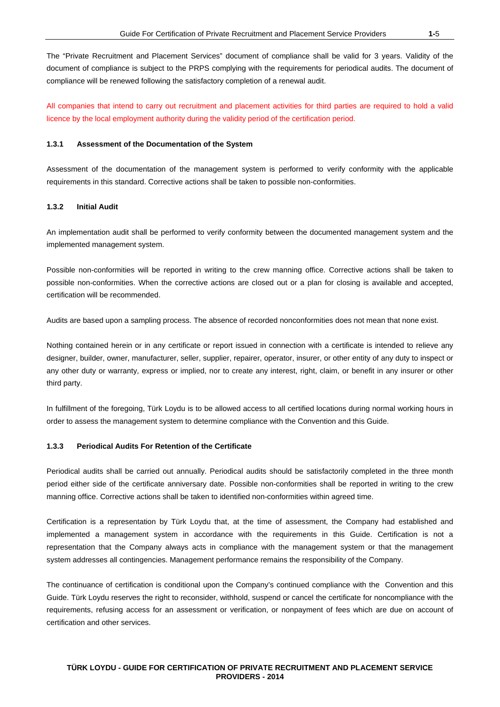The "Private Recruitment and Placement Services" document of compliance shall be valid for 3 years. Validity of the document of compliance is subject to the PRPS complying with the requirements for periodical audits. The document of compliance will be renewed following the satisfactory completion of a renewal audit.

All companies that intend to carry out recruitment and placement activities for third parties are required to hold a valid licence by the local employment authority during the validity period of the certification period.

#### **1.3.1 Assessment of the Documentation of the System**

Assessment of the documentation of the management system is performed to verify conformity with the applicable requirements in this standard. Corrective actions shall be taken to possible non-conformities.

#### **1.3.2 Initial Audit**

An implementation audit shall be performed to verify conformity between the documented management system and the implemented management system.

Possible non-conformities will be reported in writing to the crew manning office. Corrective actions shall be taken to possible non-conformities. When the corrective actions are closed out or a plan for closing is available and accepted, certification will be recommended.

Audits are based upon a sampling process. The absence of recorded nonconformities does not mean that none exist.

Nothing contained herein or in any certificate or report issued in connection with a certificate is intended to relieve any designer, builder, owner, manufacturer, seller, supplier, repairer, operator, insurer, or other entity of any duty to inspect or any other duty or warranty, express or implied, nor to create any interest, right, claim, or benefit in any insurer or other third party.

In fulfillment of the foregoing, Türk Loydu is to be allowed access to all certified locations during normal working hours in order to assess the management system to determine compliance with the Convention and this Guide.

#### **1.3.3 Periodical Audits For Retention of the Certificate**

Periodical audits shall be carried out annually. Periodical audits should be satisfactorily completed in the three month period either side of the certificate anniversary date. Possible non-conformities shall be reported in writing to the crew manning office. Corrective actions shall be taken to identified non-conformities within agreed time.

Certification is a representation by Türk Loydu that, at the time of assessment, the Company had established and implemented a management system in accordance with the requirements in this Guide. Certification is not a representation that the Company always acts in compliance with the management system or that the management system addresses all contingencies. Management performance remains the responsibility of the Company.

The continuance of certification is conditional upon the Company's continued compliance with the Convention and this Guide. Türk Loydu reserves the right to reconsider, withhold, suspend or cancel the certificate for noncompliance with the requirements, refusing access for an assessment or verification, or nonpayment of fees which are due on account of certification and other services.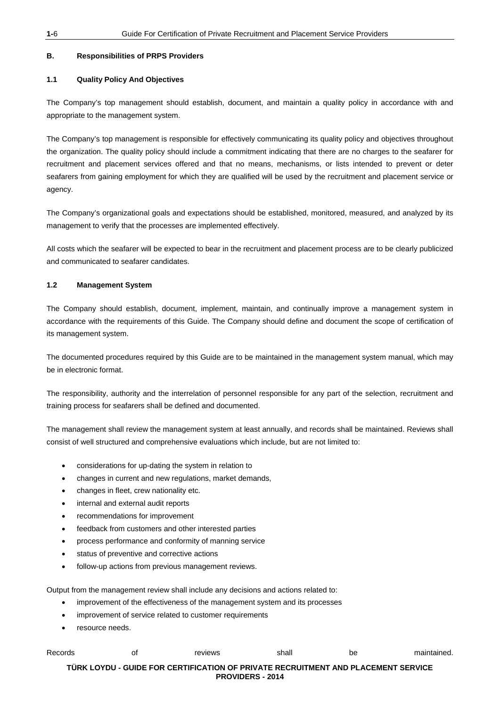#### **B. Responsibilities of PRPS Providers**

#### **1.1 Quality Policy And Objectives**

The Company's top management should establish, document, and maintain a quality policy in accordance with and appropriate to the management system.

The Company's top management is responsible for effectively communicating its quality policy and objectives throughout the organization. The quality policy should include a commitment indicating that there are no charges to the seafarer for recruitment and placement services offered and that no means, mechanisms, or lists intended to prevent or deter seafarers from gaining employment for which they are qualified will be used by the recruitment and placement service or agency.

The Company's organizational goals and expectations should be established, monitored, measured, and analyzed by its management to verify that the processes are implemented effectively.

All costs which the seafarer will be expected to bear in the recruitment and placement process are to be clearly publicized and communicated to seafarer candidates.

#### **1.2 Management System**

The Company should establish, document, implement, maintain, and continually improve a management system in accordance with the requirements of this Guide. The Company should define and document the scope of certification of its management system.

The documented procedures required by this Guide are to be maintained in the management system manual, which may be in electronic format.

The responsibility, authority and the interrelation of personnel responsible for any part of the selection, recruitment and training process for seafarers shall be defined and documented.

The management shall review the management system at least annually, and records shall be maintained. Reviews shall consist of well structured and comprehensive evaluations which include, but are not limited to:

- considerations for up-dating the system in relation to
- changes in current and new regulations, market demands,
- changes in fleet, crew nationality etc.
- internal and external audit reports
- recommendations for improvement
- feedback from customers and other interested parties
- process performance and conformity of manning service
- status of preventive and corrective actions
- follow-up actions from previous management reviews.

Output from the management review shall include any decisions and actions related to:

- improvement of the effectiveness of the management system and its processes
- improvement of service related to customer requirements
- resource needs.

| Records | οt | reviews                                                                           | shall | be | maintained. |
|---------|----|-----------------------------------------------------------------------------------|-------|----|-------------|
|         |    | TÜRK LOYDU - GUIDE FOR CERTIFICATION OF PRIVATE RECRUITMENT AND PLACEMENT SERVICE |       |    |             |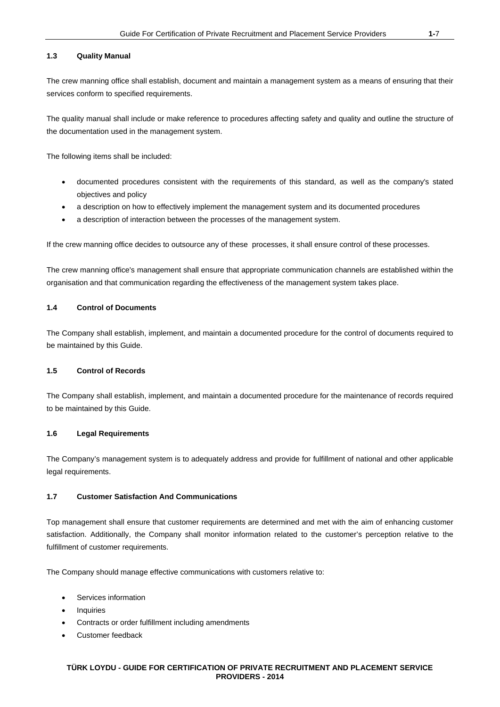#### **1.3 Quality Manual**

The crew manning office shall establish, document and maintain a management system as a means of ensuring that their services conform to specified requirements.

The quality manual shall include or make reference to procedures affecting safety and quality and outline the structure of the documentation used in the management system.

The following items shall be included:

- documented procedures consistent with the requirements of this standard, as well as the company's stated objectives and policy
- a description on how to effectively implement the management system and its documented procedures
- a description of interaction between the processes of the management system.

If the crew manning office decides to outsource any of these processes, it shall ensure control of these processes.

The crew manning office's management shall ensure that appropriate communication channels are established within the organisation and that communication regarding the effectiveness of the management system takes place.

#### **1.4 Control of Documents**

The Company shall establish, implement, and maintain a documented procedure for the control of documents required to be maintained by this Guide.

#### **1.5 Control of Records**

The Company shall establish, implement, and maintain a documented procedure for the maintenance of records required to be maintained by this Guide.

#### **1.6 Legal Requirements**

The Company's management system is to adequately address and provide for fulfillment of national and other applicable legal requirements.

#### **1.7 Customer Satisfaction And Communications**

Top management shall ensure that customer requirements are determined and met with the aim of enhancing customer satisfaction. Additionally, the Company shall monitor information related to the customer's perception relative to the fulfillment of customer requirements.

The Company should manage effective communications with customers relative to:

- Services information
- **Inquiries**
- Contracts or order fulfillment including amendments
- Customer feedback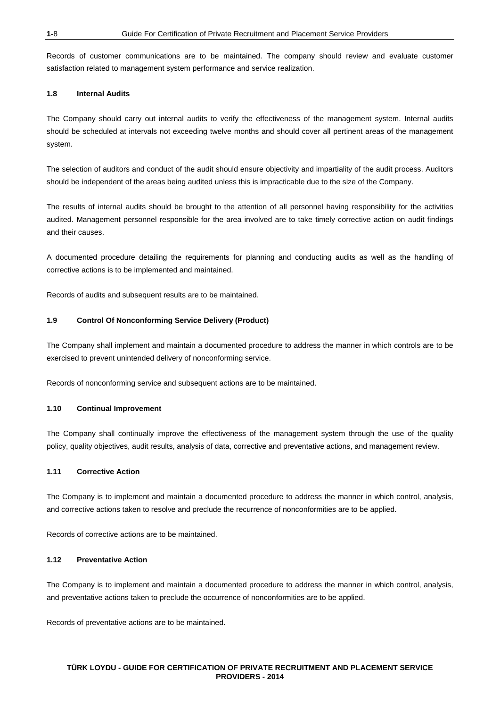Records of customer communications are to be maintained. The company should review and evaluate customer satisfaction related to management system performance and service realization.

#### **1.8 Internal Audits**

The Company should carry out internal audits to verify the effectiveness of the management system. Internal audits should be scheduled at intervals not exceeding twelve months and should cover all pertinent areas of the management system.

The selection of auditors and conduct of the audit should ensure objectivity and impartiality of the audit process. Auditors should be independent of the areas being audited unless this is impracticable due to the size of the Company.

The results of internal audits should be brought to the attention of all personnel having responsibility for the activities audited. Management personnel responsible for the area involved are to take timely corrective action on audit findings and their causes.

A documented procedure detailing the requirements for planning and conducting audits as well as the handling of corrective actions is to be implemented and maintained.

Records of audits and subsequent results are to be maintained.

#### **1.9 Control Of Nonconforming Service Delivery (Product)**

The Company shall implement and maintain a documented procedure to address the manner in which controls are to be exercised to prevent unintended delivery of nonconforming service.

Records of nonconforming service and subsequent actions are to be maintained.

#### **1.10 Continual Improvement**

The Company shall continually improve the effectiveness of the management system through the use of the quality policy, quality objectives, audit results, analysis of data, corrective and preventative actions, and management review.

#### **1.11 Corrective Action**

The Company is to implement and maintain a documented procedure to address the manner in which control, analysis, and corrective actions taken to resolve and preclude the recurrence of nonconformities are to be applied.

Records of corrective actions are to be maintained.

#### **1.12 Preventative Action**

The Company is to implement and maintain a documented procedure to address the manner in which control, analysis, and preventative actions taken to preclude the occurrence of nonconformities are to be applied.

Records of preventative actions are to be maintained.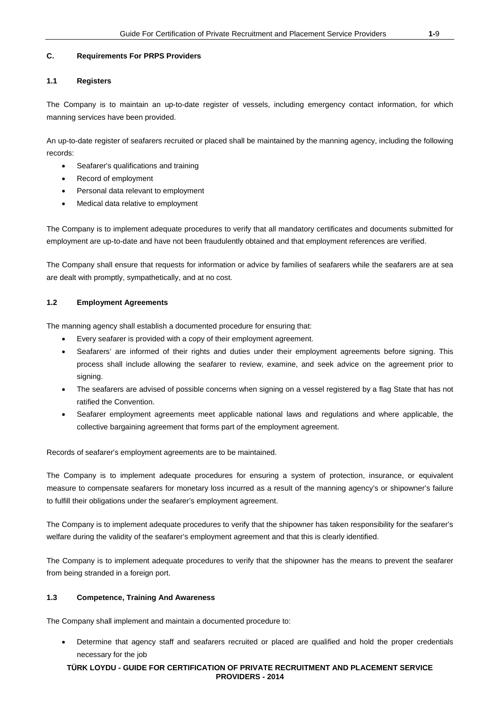#### **C. Requirements For PRPS Providers**

#### **1.1 Registers**

The Company is to maintain an up-to-date register of vessels, including emergency contact information, for which manning services have been provided.

An up-to-date register of seafarers recruited or placed shall be maintained by the manning agency, including the following records:

- Seafarer's qualifications and training
- Record of employment
- Personal data relevant to employment
- Medical data relative to employment

The Company is to implement adequate procedures to verify that all mandatory certificates and documents submitted for employment are up-to-date and have not been fraudulently obtained and that employment references are verified.

The Company shall ensure that requests for information or advice by families of seafarers while the seafarers are at sea are dealt with promptly, sympathetically, and at no cost.

## **1.2 Employment Agreements**

The manning agency shall establish a documented procedure for ensuring that:

- Every seafarer is provided with a copy of their employment agreement.
- Seafarers' are informed of their rights and duties under their employment agreements before signing. This process shall include allowing the seafarer to review, examine, and seek advice on the agreement prior to signing.
- The seafarers are advised of possible concerns when signing on a vessel registered by a flag State that has not ratified the Convention.
- Seafarer employment agreements meet applicable national laws and regulations and where applicable, the collective bargaining agreement that forms part of the employment agreement.

Records of seafarer's employment agreements are to be maintained.

The Company is to implement adequate procedures for ensuring a system of protection, insurance, or equivalent measure to compensate seafarers for monetary loss incurred as a result of the manning agency's or shipowner's failure to fulfill their obligations under the seafarer's employment agreement.

The Company is to implement adequate procedures to verify that the shipowner has taken responsibility for the seafarer's welfare during the validity of the seafarer's employment agreement and that this is clearly identified.

The Company is to implement adequate procedures to verify that the shipowner has the means to prevent the seafarer from being stranded in a foreign port.

## **1.3 Competence, Training And Awareness**

The Company shall implement and maintain a documented procedure to:

• Determine that agency staff and seafarers recruited or placed are qualified and hold the proper credentials necessary for the job